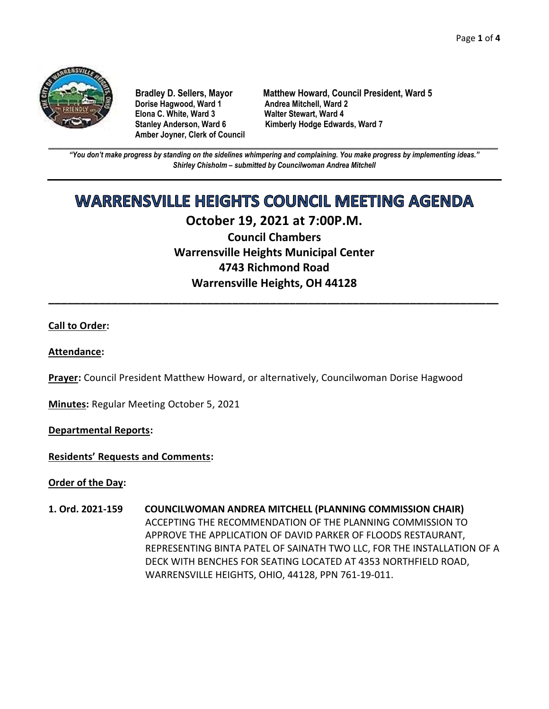

**Dorise Hagwood, Ward 1 Elona C. White, Ward 3 Walter Stewart, Ward 4 Amber Joyner, Clerk of Council**

**Bradley D. Sellers, Mayor Matthew Howard, Council President, Ward 5** Stanley Anderson, Ward 6 Kimberly Hodge Edwards, Ward 7

**\_\_\_\_\_\_\_\_\_\_\_\_\_\_\_\_\_\_\_\_\_\_\_\_\_\_\_\_\_\_\_\_\_\_\_\_\_\_\_\_\_\_\_\_\_\_\_\_\_\_\_\_\_\_\_\_\_\_\_\_\_\_\_\_\_\_\_\_\_\_\_\_\_\_\_\_\_\_\_\_\_\_\_\_\_\_\_\_\_\_\_\_\_\_\_\_\_\_\_\_\_\_\_\_\_\_\_\_\_\_** *"You don't make progress by standing on the sidelines whimpering and complaining. You make progress by implementing ideas." Shirley Chisholm – submitted by Councilwoman Andrea Mitchell*

# **WARRENSVILLE HEIGHTS COUNCIL MEETING AGENDA**

# **October 19, 2021 at 7:00P.M.**

**Council Chambers Warrensville Heights Municipal Center 4743 Richmond Road Warrensville Heights, OH 44128**

**\_\_\_\_\_\_\_\_\_\_\_\_\_\_\_\_\_\_\_\_\_\_\_\_\_\_\_\_\_\_\_\_\_\_\_\_\_\_\_\_\_\_\_\_\_\_\_\_\_\_\_\_\_\_\_\_\_\_\_\_\_\_\_\_\_\_\_\_\_\_\_**

# **Call to Order:**

# **Attendance:**

**Prayer:** Council President Matthew Howard, or alternatively, Councilwoman Dorise Hagwood

**Minutes:** Regular Meeting October 5, 2021

**Departmental Reports:**

**Residents' Requests and Comments:**

**Order of the Day:**

**1. Ord. 2021-159 COUNCILWOMAN ANDREA MITCHELL (PLANNING COMMISSION CHAIR)** ACCEPTING THE RECOMMENDATION OF THE PLANNING COMMISSION TO APPROVE THE APPLICATION OF DAVID PARKER OF FLOODS RESTAURANT, REPRESENTING BINTA PATEL OF SAINATH TWO LLC, FOR THE INSTALLATION OF A DECK WITH BENCHES FOR SEATING LOCATED AT 4353 NORTHFIELD ROAD, WARRENSVILLE HEIGHTS, OHIO, 44128, PPN 761-19-011.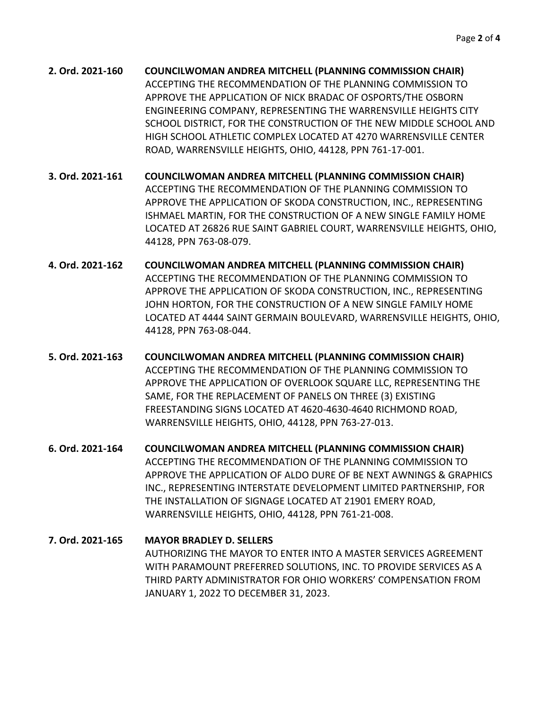**2. Ord. 2021-160 COUNCILWOMAN ANDREA MITCHELL (PLANNING COMMISSION CHAIR)** ACCEPTING THE RECOMMENDATION OF THE PLANNING COMMISSION TO APPROVE THE APPLICATION OF NICK BRADAC OF OSPORTS/THE OSBORN ENGINEERING COMPANY, REPRESENTING THE WARRENSVILLE HEIGHTS CITY SCHOOL DISTRICT, FOR THE CONSTRUCTION OF THE NEW MIDDLE SCHOOL AND HIGH SCHOOL ATHLETIC COMPLEX LOCATED AT 4270 WARRENSVILLE CENTER ROAD, WARRENSVILLE HEIGHTS, OHIO, 44128, PPN 761-17-001.

**3. Ord. 2021-161 COUNCILWOMAN ANDREA MITCHELL (PLANNING COMMISSION CHAIR)** ACCEPTING THE RECOMMENDATION OF THE PLANNING COMMISSION TO APPROVE THE APPLICATION OF SKODA CONSTRUCTION, INC., REPRESENTING ISHMAEL MARTIN, FOR THE CONSTRUCTION OF A NEW SINGLE FAMILY HOME LOCATED AT 26826 RUE SAINT GABRIEL COURT, WARRENSVILLE HEIGHTS, OHIO, 44128, PPN 763-08-079.

- **4. Ord. 2021-162 COUNCILWOMAN ANDREA MITCHELL (PLANNING COMMISSION CHAIR)** ACCEPTING THE RECOMMENDATION OF THE PLANNING COMMISSION TO APPROVE THE APPLICATION OF SKODA CONSTRUCTION, INC., REPRESENTING JOHN HORTON, FOR THE CONSTRUCTION OF A NEW SINGLE FAMILY HOME LOCATED AT 4444 SAINT GERMAIN BOULEVARD, WARRENSVILLE HEIGHTS, OHIO, 44128, PPN 763-08-044.
- **5. Ord. 2021-163 COUNCILWOMAN ANDREA MITCHELL (PLANNING COMMISSION CHAIR)** ACCEPTING THE RECOMMENDATION OF THE PLANNING COMMISSION TO APPROVE THE APPLICATION OF OVERLOOK SQUARE LLC, REPRESENTING THE SAME, FOR THE REPLACEMENT OF PANELS ON THREE (3) EXISTING FREESTANDING SIGNS LOCATED AT 4620-4630-4640 RICHMOND ROAD, WARRENSVILLE HEIGHTS, OHIO, 44128, PPN 763-27-013.
- **6. Ord. 2021-164 COUNCILWOMAN ANDREA MITCHELL (PLANNING COMMISSION CHAIR)** ACCEPTING THE RECOMMENDATION OF THE PLANNING COMMISSION TO APPROVE THE APPLICATION OF ALDO DURE OF BE NEXT AWNINGS & GRAPHICS INC., REPRESENTING INTERSTATE DEVELOPMENT LIMITED PARTNERSHIP, FOR THE INSTALLATION OF SIGNAGE LOCATED AT 21901 EMERY ROAD, WARRENSVILLE HEIGHTS, OHIO, 44128, PPN 761-21-008.

```
7. Ord. 2021-165 MAYOR BRADLEY D. SELLERS
      AUTHORIZING THE MAYOR TO ENTER INTO A MASTER SERVICES AGREEMENT 
      WITH PARAMOUNT PREFERRED SOLUTIONS, INC. TO PROVIDE SERVICES AS A 
      THIRD PARTY ADMINISTRATOR FOR OHIO WORKERS' COMPENSATION FROM 
      JANUARY 1, 2022 TO DECEMBER 31, 2023.
```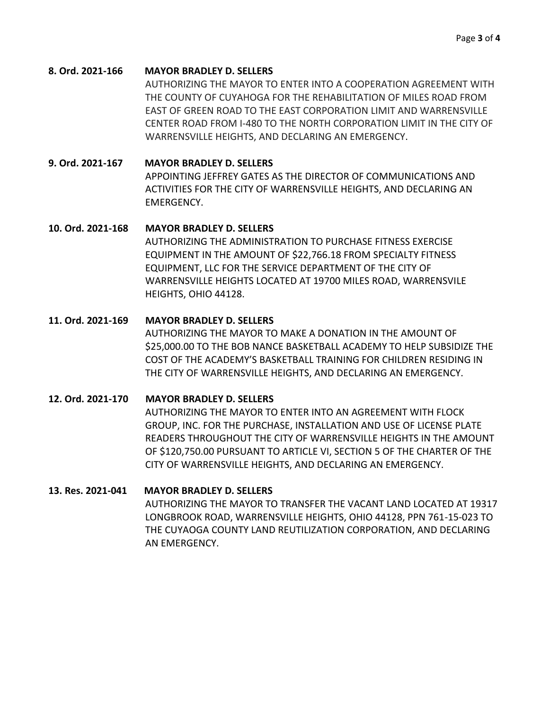#### **8. Ord. 2021-166 MAYOR BRADLEY D. SELLERS**

AUTHORIZING THE MAYOR TO ENTER INTO A COOPERATION AGREEMENT WITH THE COUNTY OF CUYAHOGA FOR THE REHABILITATION OF MILES ROAD FROM EAST OF GREEN ROAD TO THE EAST CORPORATION LIMIT AND WARRENSVILLE CENTER ROAD FROM I-480 TO THE NORTH CORPORATION LIMIT IN THE CITY OF WARRENSVILLE HEIGHTS, AND DECLARING AN EMERGENCY.

### **9. Ord. 2021-167 MAYOR BRADLEY D. SELLERS**

APPOINTING JEFFREY GATES AS THE DIRECTOR OF COMMUNICATIONS AND ACTIVITIES FOR THE CITY OF WARRENSVILLE HEIGHTS, AND DECLARING AN EMERGENCY.

#### **10. Ord. 2021-168 MAYOR BRADLEY D. SELLERS**

AUTHORIZING THE ADMINISTRATION TO PURCHASE FITNESS EXERCISE EQUIPMENT IN THE AMOUNT OF \$22,766.18 FROM SPECIALTY FITNESS EQUIPMENT, LLC FOR THE SERVICE DEPARTMENT OF THE CITY OF WARRENSVILLE HEIGHTS LOCATED AT 19700 MILES ROAD, WARRENSVILE HEIGHTS, OHIO 44128.

#### **11. Ord. 2021-169 MAYOR BRADLEY D. SELLERS**

AUTHORIZING THE MAYOR TO MAKE A DONATION IN THE AMOUNT OF \$25,000.00 TO THE BOB NANCE BASKETBALL ACADEMY TO HELP SUBSIDIZE THE COST OF THE ACADEMY'S BASKETBALL TRAINING FOR CHILDREN RESIDING IN THE CITY OF WARRENSVILLE HEIGHTS, AND DECLARING AN EMERGENCY.

#### **12. Ord. 2021-170 MAYOR BRADLEY D. SELLERS**

AUTHORIZING THE MAYOR TO ENTER INTO AN AGREEMENT WITH FLOCK GROUP, INC. FOR THE PURCHASE, INSTALLATION AND USE OF LICENSE PLATE READERS THROUGHOUT THE CITY OF WARRENSVILLE HEIGHTS IN THE AMOUNT OF \$120,750.00 PURSUANT TO ARTICLE VI, SECTION 5 OF THE CHARTER OF THE CITY OF WARRENSVILLE HEIGHTS, AND DECLARING AN EMERGENCY.

#### **13. Res. 2021-041 MAYOR BRADLEY D. SELLERS**

AUTHORIZING THE MAYOR TO TRANSFER THE VACANT LAND LOCATED AT 19317 LONGBROOK ROAD, WARRENSVILLE HEIGHTS, OHIO 44128, PPN 761-15-023 TO THE CUYAOGA COUNTY LAND REUTILIZATION CORPORATION, AND DECLARING AN EMERGENCY.